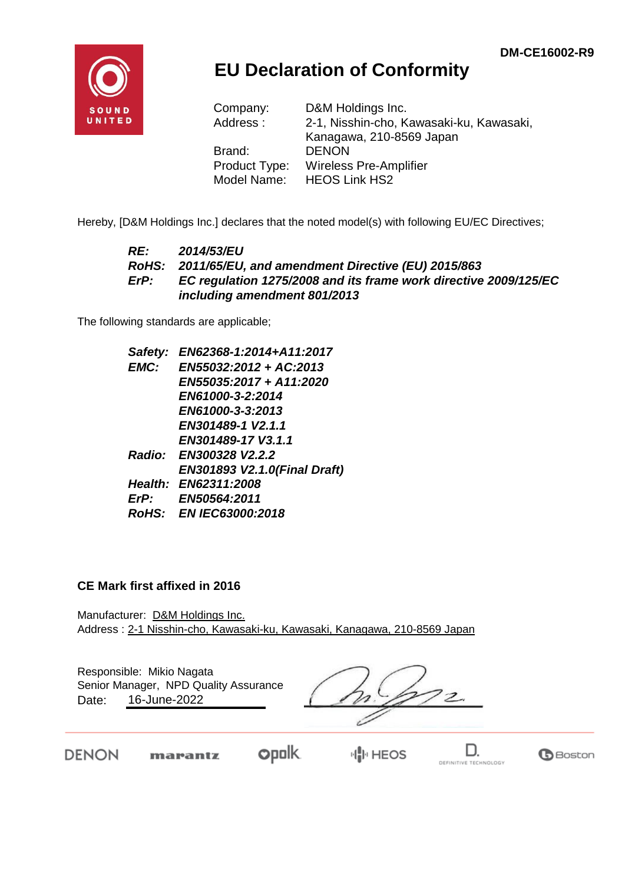

## **EU Declaration of Conformity**

| Company:      | D&M Holdings Inc.                        |
|---------------|------------------------------------------|
| Address:      | 2-1, Nisshin-cho, Kawasaki-ku, Kawasaki, |
|               | Kanagawa, 210-8569 Japan                 |
| Brand:        | <b>DENON</b>                             |
| Product Type: | Wireless Pre-Amplifier                   |
| Model Name:   | <b>HEOS Link HS2</b>                     |

Hereby, [D&M Holdings Inc.] declares that the noted model(s) with following EU/EC Directives;

#### *RE: 2014/53/EU RoHS: 2011/65/EU, and amendment Directive (EU) 2015/863 ErP: EC regulation 1275/2008 and its frame work directive 2009/125/EC including amendment 801/2013*

The following standards are applicable;

| Safety: | EN62368-1:2014+A11:2017             |
|---------|-------------------------------------|
| EMC:    | EN55032:2012 + AC:2013              |
|         | EN55035:2017 + A11:2020             |
|         | EN61000-3-2:2014                    |
|         | EN61000-3-3:2013                    |
|         | EN301489-1 V2.1.1                   |
|         | EN301489-17 V3.1.1                  |
|         | Radio: EN300328 V2.2.2              |
|         | <b>EN301893 V2.1.0(Final Draft)</b> |
|         | Health: EN62311:2008                |
| ErP:    | <b>EN50564:2011</b>                 |
|         | RoHS: EN IEC63000:2018              |

#### **CE Mark first affixed in 2016**

Manufacturer: D&M Holdings Inc. Address : 2-1 Nisshin-cho, Kawasaki-ku, Kawasaki, Kanagawa, 210-8569 Japan

Responsible: Mikio Nagata Date: 16-June-2022 Senior Manager, NPD Quality Assurance

**DENON** 

marantz

**opolk** 

H<mark>I</mark>ll HEOS

D. DEFINITIVE TECHNOLOGY

**G**Boston